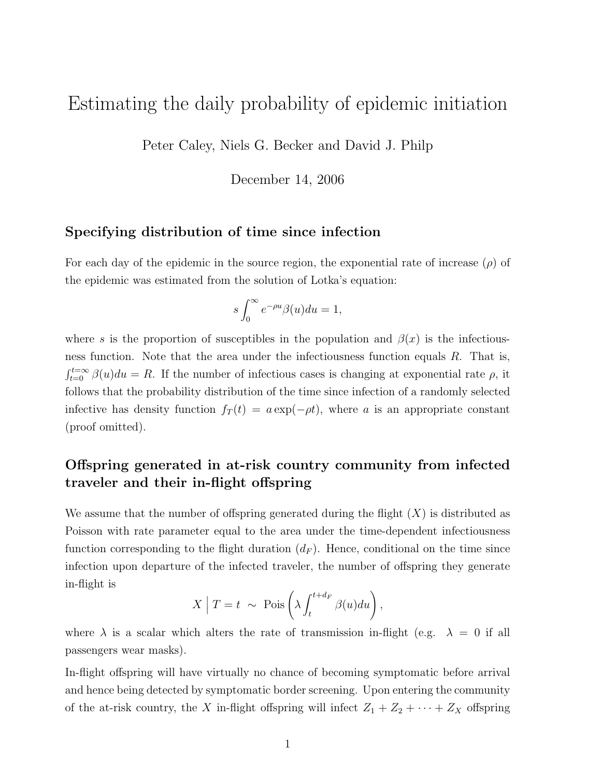# Estimating the daily probability of epidemic initiation

Peter Caley, Niels G. Becker and David J. Philp

December 14, 2006

#### Specifying distribution of time since infection

For each day of the epidemic in the source region, the exponential rate of increase  $(\rho)$  of the epidemic was estimated from the solution of Lotka's equation:

$$
s\int_0^\infty e^{-\rho u}\beta(u)du=1,
$$

where s is the proportion of susceptibles in the population and  $\beta(x)$  is the infectiousness function. Note that the area under the infectiousness function equals  $R$ . That is,  $\int_{t=0}^{t=\infty} \beta(u) du = R$ . If the number of infectious cases is changing at exponential rate  $\rho$ , it follows that the probability distribution of the time since infection of a randomly selected infective has density function  $f_T(t) = a \exp(-\rho t)$ , where a is an appropriate constant (proof omitted).

## Offspring generated in at-risk country community from infected traveler and their in-flight offspring

We assume that the number of offspring generated during the flight  $(X)$  is distributed as Poisson with rate parameter equal to the area under the time-dependent infectiousness function corresponding to the flight duration  $(d_F)$ . Hence, conditional on the time since infection upon departure of the infected traveler, the number of offspring they generate in-flight is

$$
X | T = t \sim \text{Pois}\left(\lambda \int_t^{t + d_F} \beta(u) du\right),
$$

where  $\lambda$  is a scalar which alters the rate of transmission in-flight (e.g.  $\lambda = 0$  if all passengers wear masks).

In-flight offspring will have virtually no chance of becoming symptomatic before arrival and hence being detected by symptomatic border screening. Upon entering the community of the at-risk country, the X in-flight offspring will infect  $Z_1 + Z_2 + \cdots + Z_X$  offspring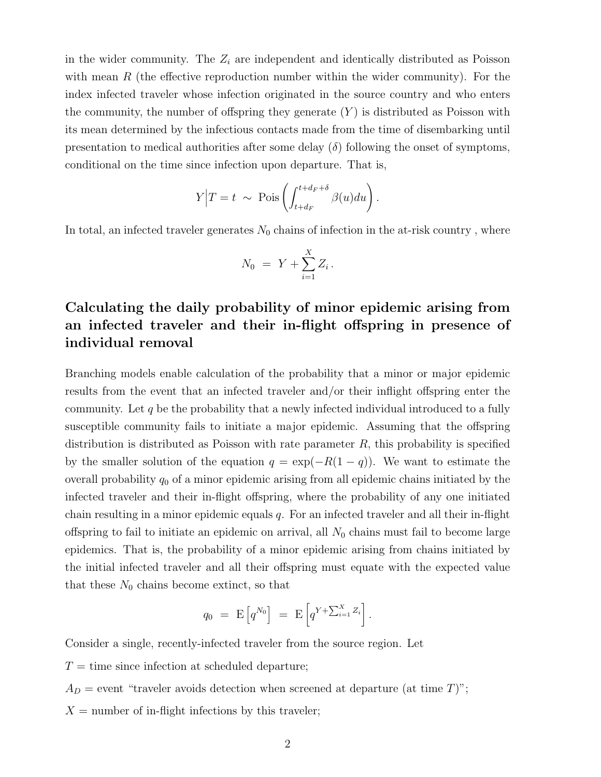in the wider community. The  $Z_i$  are independent and identically distributed as Poisson with mean  $R$  (the effective reproduction number within the wider community). For the index infected traveler whose infection originated in the source country and who enters the community, the number of offspring they generate  $(Y)$  is distributed as Poisson with its mean determined by the infectious contacts made from the time of disembarking until presentation to medical authorities after some delay  $(\delta)$  following the onset of symptoms, conditional on the time since infection upon departure. That is,

$$
Y|T = t \sim \text{Pois}\left(\int_{t+d_F}^{t+d_F+\delta} \beta(u) du\right).
$$

In total, an infected traveler generates  $N_0$  chains of infection in the at-risk country, where

$$
N_0 \ = \ Y + \sum_{i=1}^X Z_i \, .
$$

## Calculating the daily probability of minor epidemic arising from an infected traveler and their in-flight offspring in presence of individual removal

Branching models enable calculation of the probability that a minor or major epidemic results from the event that an infected traveler and/or their inflight offspring enter the community. Let  $q$  be the probability that a newly infected individual introduced to a fully susceptible community fails to initiate a major epidemic. Assuming that the offspring distribution is distributed as Poisson with rate parameter  $R$ , this probability is specified by the smaller solution of the equation  $q = \exp(-R(1-q))$ . We want to estimate the overall probability  $q_0$  of a minor epidemic arising from all epidemic chains initiated by the infected traveler and their in-flight offspring, where the probability of any one initiated chain resulting in a minor epidemic equals  $q$ . For an infected traveler and all their in-flight offspring to fail to initiate an epidemic on arrival, all  $N_0$  chains must fail to become large epidemics. That is, the probability of a minor epidemic arising from chains initiated by the initial infected traveler and all their offspring must equate with the expected value that these  $N_0$  chains become extinct, so that

$$
q_0 = \mathbf{E}\left[q^{N_0}\right] = \mathbf{E}\left[q^{Y + \sum_{i=1}^X Z_i}\right].
$$

Consider a single, recently-infected traveler from the source region. Let

- $T =$  time since infection at scheduled departure;
- $A_D$  = event "traveler avoids detection when screened at departure (at time T)";
- $X =$  number of in-flight infections by this traveler;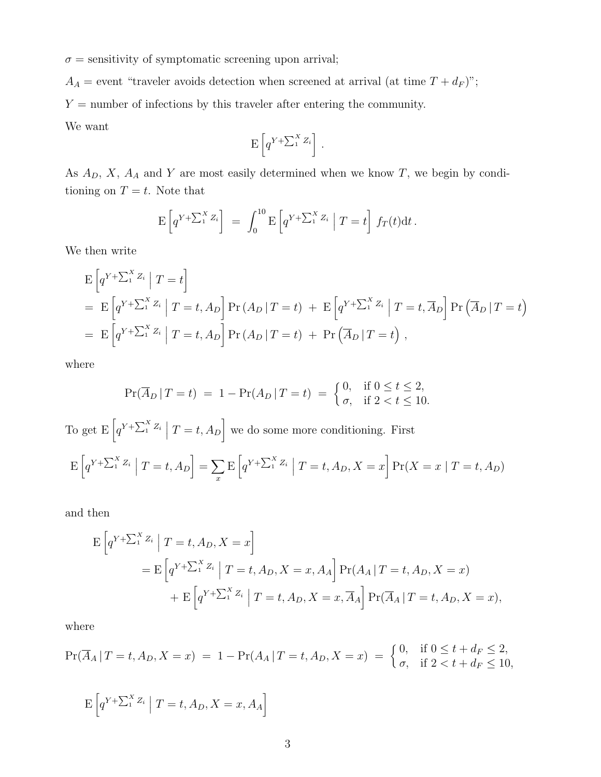$\sigma$  = sensitivity of symptomatic screening upon arrival;

 $A_A$  = event "traveler avoids detection when screened at arrival (at time  $T + d_F$ )";

 $Y =$  number of infections by this traveler after entering the community.

We want

$$
\mathbf{E}\left[q^{Y+\sum_{1}^{X}Z_i}\right].
$$

As  $A_D$ , X,  $A_A$  and Y are most easily determined when we know T, we begin by conditioning on  $T = t$ . Note that

$$
\mathbf{E}\left[q^{Y+\sum_1^X Z_i}\right] = \int_0^{10} \mathbf{E}\left[q^{Y+\sum_1^X Z_i} \mid T=t\right] f_T(t) dt.
$$

We then write

$$
E\left[q^{Y+\sum_{1}^{X}Z_{i}}|T=t\right]
$$
  
=  $E\left[q^{Y+\sum_{1}^{X}Z_{i}}|T=t,A_{D}\right]Pr(A_{D}|T=t) + E\left[q^{Y+\sum_{1}^{X}Z_{i}}|T=t,\overline{A}_{D}\right]Pr(\overline{A}_{D}|T=t)$   
=  $E\left[q^{Y+\sum_{1}^{X}Z_{i}}|T=t,A_{D}\right]Pr(A_{D}|T=t) + Pr(\overline{A}_{D}|T=t),$ 

where

$$
\Pr(\overline{A}_D | T = t) = 1 - \Pr(A_D | T = t) = \begin{cases} 0, & \text{if } 0 \le t \le 2, \\ \sigma, & \text{if } 2 < t \le 10. \end{cases}
$$

To get  $E\left[q^{Y+\sum_{1}^{X}Z_{i}}\mid T=t,A_{D}\right]$  we do some more conditioning. First  $\mathbb{E}\left[q^{Y+\sum_1^X Z_i}\mid T=t, A_D\right]=\sum_x$ x  $\mathop{\rm E}\left[q^{Y + \sum_{1}^{X}Z_{i}}\ \Big|\ T = t,A_{D},X=x\right]\Pr(X=x\mid T=t,A_{D})$ 

and then

$$
E\left[q^{Y+\sum_{1}^{X}Z_{i}}\middle| T=t,A_{D}, X=x\right]
$$
  
= 
$$
E\left[q^{Y+\sum_{1}^{X}Z_{i}}\middle| T=t,A_{D}, X=x,A_{A}\right]Pr(A_{A} | T=t,A_{D}, X=x)
$$
  
+ 
$$
E\left[q^{Y+\sum_{1}^{X}Z_{i}}\middle| T=t,A_{D}, X=x,\overline{A}_{A}\right]Pr(\overline{A}_{A} | T=t,A_{D}, X=x),
$$

where

$$
\Pr(\overline{A}_A | T = t, A_D, X = x) = 1 - \Pr(A_A | T = t, A_D, X = x) = \begin{cases} 0, & \text{if } 0 \le t + d_F \le 2, \\ \sigma, & \text{if } 2 < t + d_F \le 10, \end{cases}
$$

$$
\mathbf{E}\left[q^{Y+\sum_{1}^{X}Z_{i}}\mid T=t,A_{D},X=x,A_{A}\right]
$$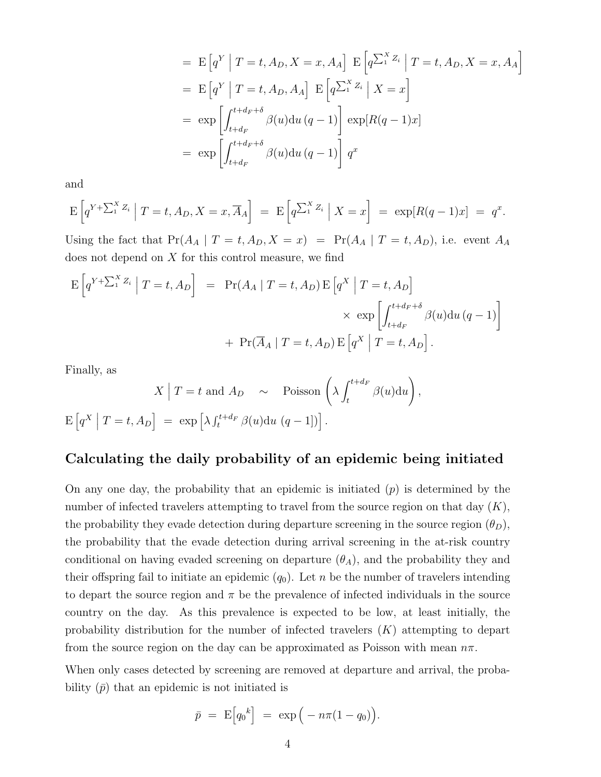$$
= \mathbb{E}\left[q^{Y} \mid T=t, A_{D}, X=x, A_{A}\right] \mathbb{E}\left[q^{\sum_{1}^{X}Z_{i}} \mid T=t, A_{D}, X=x, A_{A}\right]
$$

$$
= \mathbb{E}\left[q^{Y} \mid T=t, A_{D}, A_{A}\right] \mathbb{E}\left[q^{\sum_{1}^{X}Z_{i}} \mid X=x\right]
$$

$$
= \exp\left[\int_{t+d_{F}}^{t+d_{F}+\delta} \beta(u) du (q-1)\right] \exp[R(q-1)x]
$$

$$
= \exp\left[\int_{t+d_{F}}^{t+d_{F}+\delta} \beta(u) du (q-1)\right] q^{x}
$$

and

$$
\mathrm{E}\left[q^{Y+\sum_{1}^{X}Z_{i}}\big|T=t,A_{D},X=x,\overline{A}_{A}\right] = \mathrm{E}\left[q^{\sum_{1}^{X}Z_{i}}\big|X=x\right] = \exp[R(q-1)x] = q^{x}.
$$

Using the fact that  $Pr(A_A | T = t, A_D, X = x) = Pr(A_A | T = t, A_D)$ , i.e. event  $A_A$ does not depend on  $X$  for this control measure, we find

$$
\begin{aligned} \mathcal{E}\left[q^{Y+\sum_{1}^{X}Z_{i}}\middle| T=t,A_{D}\right] &= \mathcal{Pr}(A_{A}\mid T=t,A_{D})\,\mathcal{E}\left[q^{X}\middle| T=t,A_{D}\right] \\ &\times \exp\left[\int_{t+d_{F}}^{t+d_{F}+\delta}\beta(u)\mathrm{d}u\left(q-1\right)\right] \\ &+ \mathcal{Pr}(\overline{A}_{A}\mid T=t,A_{D})\,\mathcal{E}\left[q^{X}\middle| T=t,A_{D}\right]. \end{aligned}
$$

Finally, as

Finally, as  
\n
$$
X \mid T = t
$$
 and  $A_D \sim \text{Poisson}\left(\lambda \int_t^{t + d_F} \beta(u) \, \mathrm{d}u\right)$ ,  
\n $E\left[q^X \mid T = t, A_D\right] = \exp\left[\lambda \int_t^{t + d_F} \beta(u) \, \mathrm{d}u \left(q - 1\right]\right]$ .

### Calculating the daily probability of an epidemic being initiated

On any one day, the probability that an epidemic is initiated  $(p)$  is determined by the number of infected travelers attempting to travel from the source region on that day  $(K)$ , the probability they evade detection during departure screening in the source region  $(\theta_D)$ , the probability that the evade detection during arrival screening in the at-risk country conditional on having evaded screening on departure  $(\theta_A)$ , and the probability they and their offspring fail to initiate an epidemic  $(q_0)$ . Let n be the number of travelers intending to depart the source region and  $\pi$  be the prevalence of infected individuals in the source country on the day. As this prevalence is expected to be low, at least initially, the probability distribution for the number of infected travelers  $(K)$  attempting to depart from the source region on the day can be approximated as Poisson with mean  $n\pi$ .

When only cases detected by screening are removed at departure and arrival, the probability  $(\bar{p})$  that an epidemic is not initiated is

$$
\bar{p} = \mathrm{E}\Big[q_0^{\ k}\Big] = \exp\Big(-n\pi(1-q_0)\Big).
$$